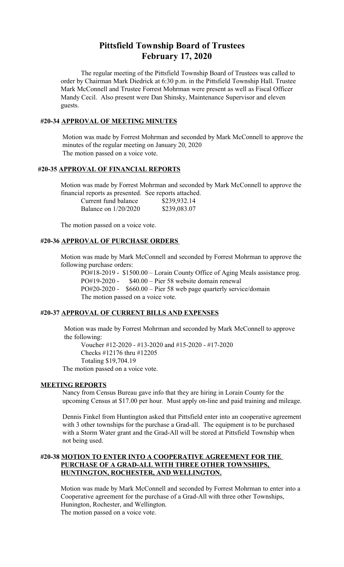# **Pittsfield Township Board of Trustees February 17, 2020**

The regular meeting of the Pittsfield Township Board of Trustees was called to order by Chairman Mark Diedrick at 6:30 p.m. in the Pittsfield Township Hall. Trustee Mark McConnell and Trustee Forrest Mohrman were present as well as Fiscal Officer Mandy Cecil. Also present were Dan Shinsky, Maintenance Supervisor and eleven guests.

### **#20-34 APPROVAL OF MEETING MINUTES**

 Motion was made by Forrest Mohrman and seconded by Mark McConnell to approve the minutes of the regular meeting on January 20, 2020 The motion passed on a voice vote.

### **#20-35 APPROVAL OF FINANCIAL REPORTS**

Motion was made by Forrest Mohrman and seconded by Mark McConnell to approve the financial reports as presented. See reports attached.

| Current fund balance   | \$239,932.14 |
|------------------------|--------------|
| Balance on $1/20/2020$ | \$239,083.07 |

The motion passed on a voice vote.

## **#20-36 APPROVAL OF PURCHASE ORDERS**

Motion was made by Mark McConnell and seconded by Forrest Mohrman to approve the following purchase orders:

PO#18-2019 - \$1500.00 – Lorain County Office of Aging Meals assistance prog. PO#19-2020 - \$40.00 – Pier 58 website domain renewal PO#20-2020 - \$660.00 – Pier 58 web page quarterly service/domain The motion passed on a voice vote.

### **#20-37 APPROVAL OF CURRENT BILLS AND EXPENSES**

 Motion was made by Forrest Mohrman and seconded by Mark McConnell to approve the following:

Voucher #12-2020 - #13-2020 and #15-2020 - #17-2020 Checks #12176 thru #12205 Totaling \$19,704.19

The motion passed on a voice vote.

# **MEETING REPORTS**

Nancy from Census Bureau gave info that they are hiring in Lorain County for the upcoming Census at \$17.00 per hour. Must apply on-line and paid training and mileage.

Dennis Finkel from Huntington asked that Pittsfield enter into an cooperative agreement with 3 other townships for the purchase a Grad-all. The equipment is to be purchased with a Storm Water grant and the Grad-All will be stored at Pittsfield Township when not being used.

# **#20-38 MOTION TO ENTER INTO A COOPERATIVE AGREEMENT FOR THE PURCHASE OF A GRAD-ALL WITH THREE OTHER TOWNSHIPS, HUNTINGTON, ROCHESTER, AND WELLINGTON.**

Motion was made by Mark McConnell and seconded by Forrest Mohrman to enter into a Cooperative agreement for the purchase of a Grad-All with three other Townships, Hunington, Rochester, and Wellington. The motion passed on a voice vote.